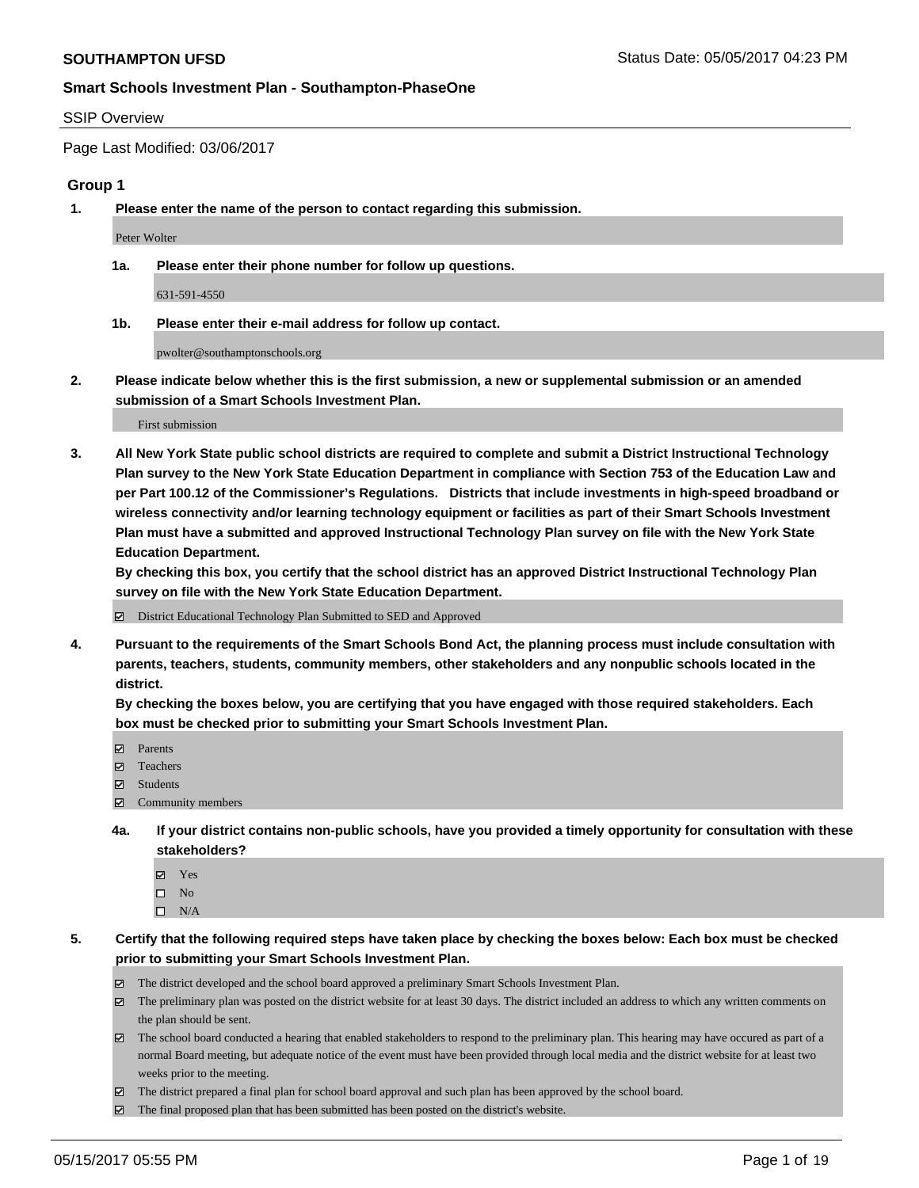#### SSIP Overview

Page Last Modified: 03/06/2017

#### **Group 1**

**1. Please enter the name of the person to contact regarding this submission.**

Peter Wolter

**1a. Please enter their phone number for follow up questions.**

631-591-4550

**1b. Please enter their e-mail address for follow up contact.**

pwolter@southamptonschools.org

**2. Please indicate below whether this is the first submission, a new or supplemental submission or an amended submission of a Smart Schools Investment Plan.**

First submission

**3. All New York State public school districts are required to complete and submit a District Instructional Technology Plan survey to the New York State Education Department in compliance with Section 753 of the Education Law and per Part 100.12 of the Commissioner's Regulations. Districts that include investments in high-speed broadband or wireless connectivity and/or learning technology equipment or facilities as part of their Smart Schools Investment Plan must have a submitted and approved Instructional Technology Plan survey on file with the New York State Education Department.** 

**By checking this box, you certify that the school district has an approved District Instructional Technology Plan survey on file with the New York State Education Department.**

District Educational Technology Plan Submitted to SED and Approved

**4. Pursuant to the requirements of the Smart Schools Bond Act, the planning process must include consultation with parents, teachers, students, community members, other stakeholders and any nonpublic schools located in the district.** 

**By checking the boxes below, you are certifying that you have engaged with those required stakeholders. Each box must be checked prior to submitting your Smart Schools Investment Plan.**

- **マ** Parents
- □ Teachers
- Students
- $\Xi$  Community members
- **4a. If your district contains non-public schools, have you provided a timely opportunity for consultation with these stakeholders?**
	- Yes
	- $\hfill \square$  No
	- $\square$  N/A
- **5. Certify that the following required steps have taken place by checking the boxes below: Each box must be checked prior to submitting your Smart Schools Investment Plan.**
	- The district developed and the school board approved a preliminary Smart Schools Investment Plan.
	- $\boxtimes$  The preliminary plan was posted on the district website for at least 30 days. The district included an address to which any written comments on the plan should be sent.
	- $\boxtimes$  The school board conducted a hearing that enabled stakeholders to respond to the preliminary plan. This hearing may have occured as part of a normal Board meeting, but adequate notice of the event must have been provided through local media and the district website for at least two weeks prior to the meeting.
	- The district prepared a final plan for school board approval and such plan has been approved by the school board.
	- $\boxtimes$  The final proposed plan that has been submitted has been posted on the district's website.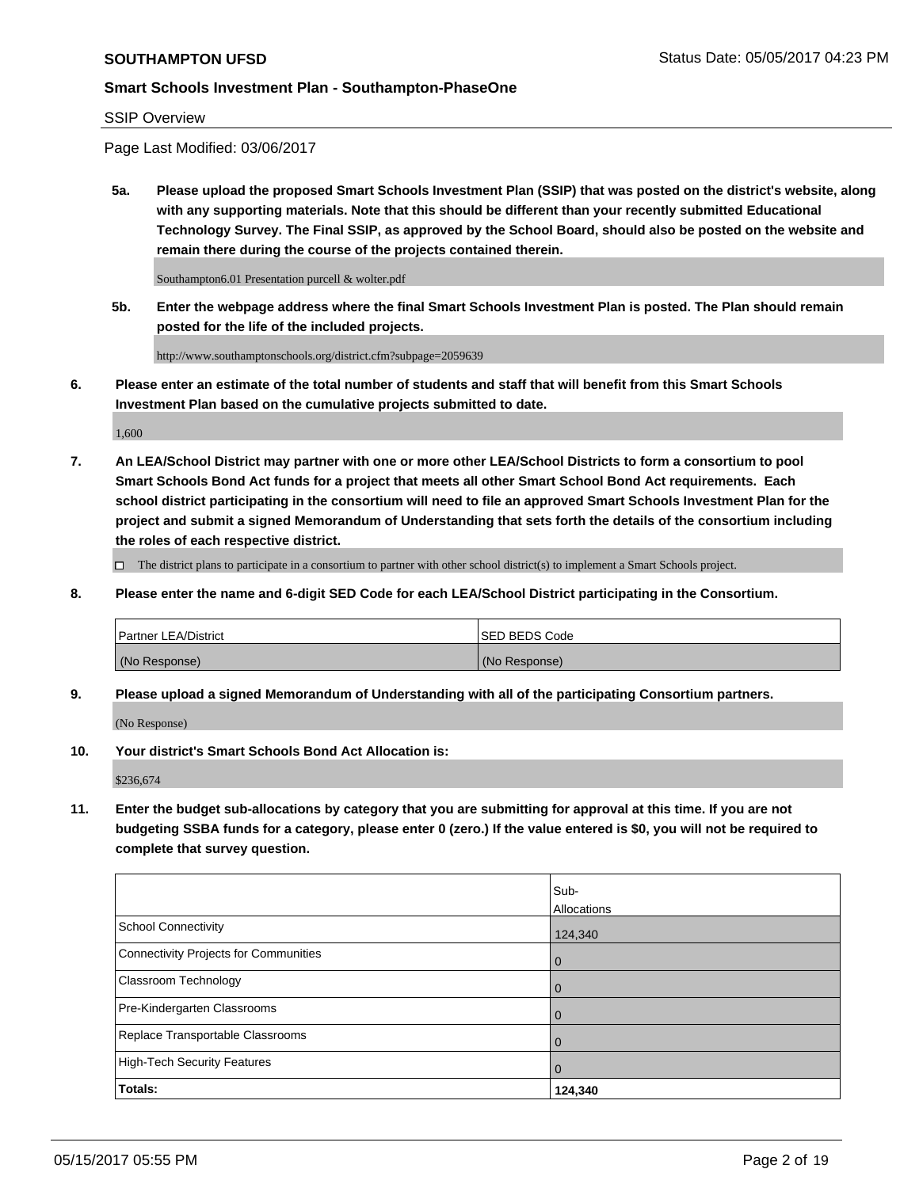#### SSIP Overview

Page Last Modified: 03/06/2017

**5a. Please upload the proposed Smart Schools Investment Plan (SSIP) that was posted on the district's website, along with any supporting materials. Note that this should be different than your recently submitted Educational Technology Survey. The Final SSIP, as approved by the School Board, should also be posted on the website and remain there during the course of the projects contained therein.**

Southampton6.01 Presentation purcell & wolter.pdf

**5b. Enter the webpage address where the final Smart Schools Investment Plan is posted. The Plan should remain posted for the life of the included projects.**

http://www.southamptonschools.org/district.cfm?subpage=2059639

**6. Please enter an estimate of the total number of students and staff that will benefit from this Smart Schools Investment Plan based on the cumulative projects submitted to date.**

1,600

**7. An LEA/School District may partner with one or more other LEA/School Districts to form a consortium to pool Smart Schools Bond Act funds for a project that meets all other Smart School Bond Act requirements. Each school district participating in the consortium will need to file an approved Smart Schools Investment Plan for the project and submit a signed Memorandum of Understanding that sets forth the details of the consortium including the roles of each respective district.**

 $\Box$  The district plans to participate in a consortium to partner with other school district(s) to implement a Smart Schools project.

**8. Please enter the name and 6-digit SED Code for each LEA/School District participating in the Consortium.**

| <b>Partner LEA/District</b> | <b>ISED BEDS Code</b> |
|-----------------------------|-----------------------|
| (No Response)               | (No Response)         |

**9. Please upload a signed Memorandum of Understanding with all of the participating Consortium partners.**

(No Response)

**10. Your district's Smart Schools Bond Act Allocation is:**

\$236,674

**11. Enter the budget sub-allocations by category that you are submitting for approval at this time. If you are not budgeting SSBA funds for a category, please enter 0 (zero.) If the value entered is \$0, you will not be required to complete that survey question.**

|                                              | Sub-           |
|----------------------------------------------|----------------|
|                                              | Allocations    |
| <b>School Connectivity</b>                   | 124,340        |
| <b>Connectivity Projects for Communities</b> | 0              |
| Classroom Technology                         | $\overline{0}$ |
| Pre-Kindergarten Classrooms                  | $\overline{0}$ |
| Replace Transportable Classrooms             | 0              |
| <b>High-Tech Security Features</b>           | $\overline{0}$ |
| Totals:                                      | 124,340        |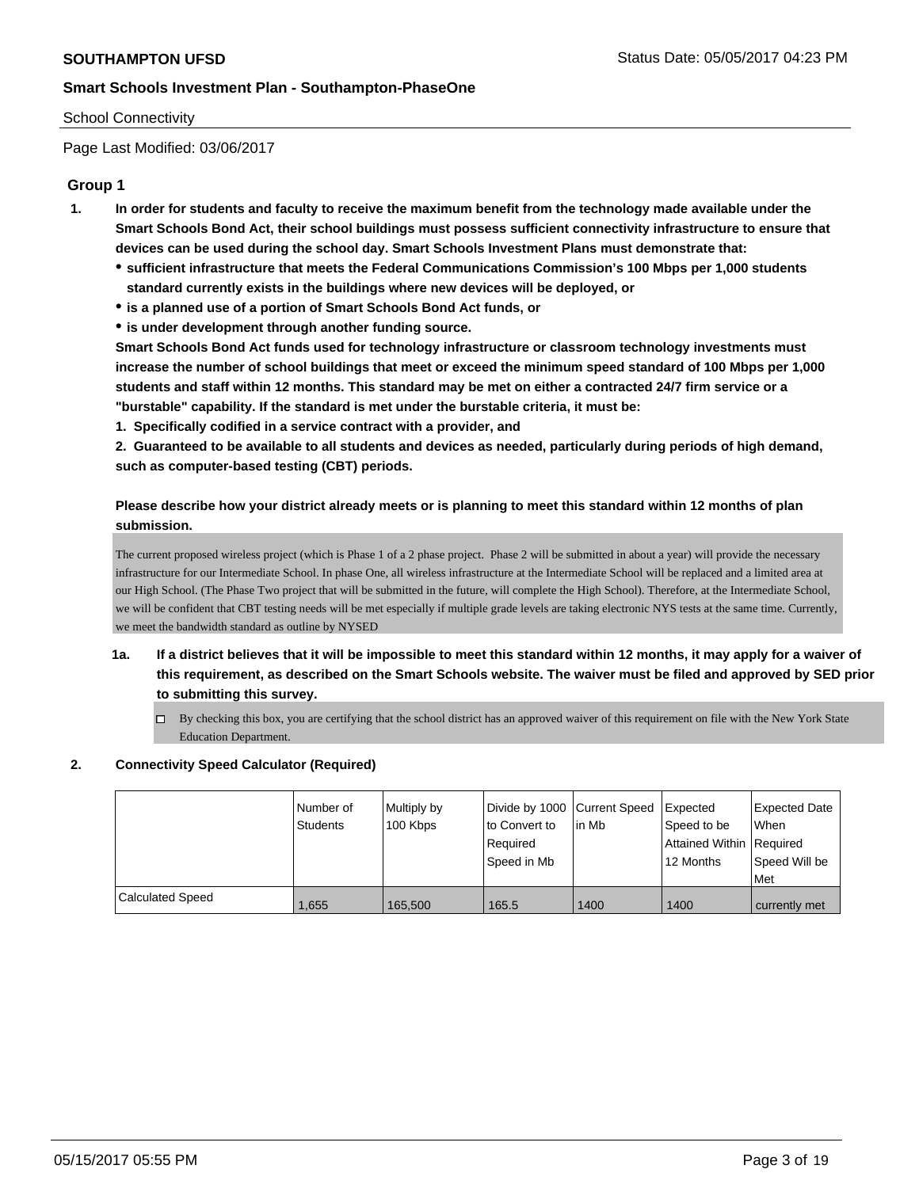## School Connectivity

Page Last Modified: 03/06/2017

## **Group 1**

- **1. In order for students and faculty to receive the maximum benefit from the technology made available under the Smart Schools Bond Act, their school buildings must possess sufficient connectivity infrastructure to ensure that devices can be used during the school day. Smart Schools Investment Plans must demonstrate that:**
	- **sufficient infrastructure that meets the Federal Communications Commission's 100 Mbps per 1,000 students standard currently exists in the buildings where new devices will be deployed, or**
	- **is a planned use of a portion of Smart Schools Bond Act funds, or**
	- **is under development through another funding source.**

**Smart Schools Bond Act funds used for technology infrastructure or classroom technology investments must increase the number of school buildings that meet or exceed the minimum speed standard of 100 Mbps per 1,000 students and staff within 12 months. This standard may be met on either a contracted 24/7 firm service or a "burstable" capability. If the standard is met under the burstable criteria, it must be:**

**1. Specifically codified in a service contract with a provider, and**

**2. Guaranteed to be available to all students and devices as needed, particularly during periods of high demand, such as computer-based testing (CBT) periods.**

## **Please describe how your district already meets or is planning to meet this standard within 12 months of plan submission.**

The current proposed wireless project (which is Phase 1 of a 2 phase project. Phase 2 will be submitted in about a year) will provide the necessary infrastructure for our Intermediate School. In phase One, all wireless infrastructure at the Intermediate School will be replaced and a limited area at our High School. (The Phase Two project that will be submitted in the future, will complete the High School). Therefore, at the Intermediate School, we will be confident that CBT testing needs will be met especially if multiple grade levels are taking electronic NYS tests at the same time. Currently, we meet the bandwidth standard as outline by NYSED

- **1a. If a district believes that it will be impossible to meet this standard within 12 months, it may apply for a waiver of this requirement, as described on the Smart Schools website. The waiver must be filed and approved by SED prior to submitting this survey.**
	- By checking this box, you are certifying that the school district has an approved waiver of this requirement on file with the New York State Education Department.

## **2. Connectivity Speed Calculator (Required)**

|                  | Number of<br>Students | Multiply by<br>100 Kbps | to Convert to<br>Required<br>Speed in Mb | Divide by 1000 Current Speed Expected<br>lin Mb | Speed to be<br>Attained Within Required<br>12 Months | <b>Expected Date</b><br>When<br>l Speed Will be<br>Met |
|------------------|-----------------------|-------------------------|------------------------------------------|-------------------------------------------------|------------------------------------------------------|--------------------------------------------------------|
| Calculated Speed | 1.655                 | 165.500                 | 165.5                                    | 1400                                            | 1400                                                 | currently met                                          |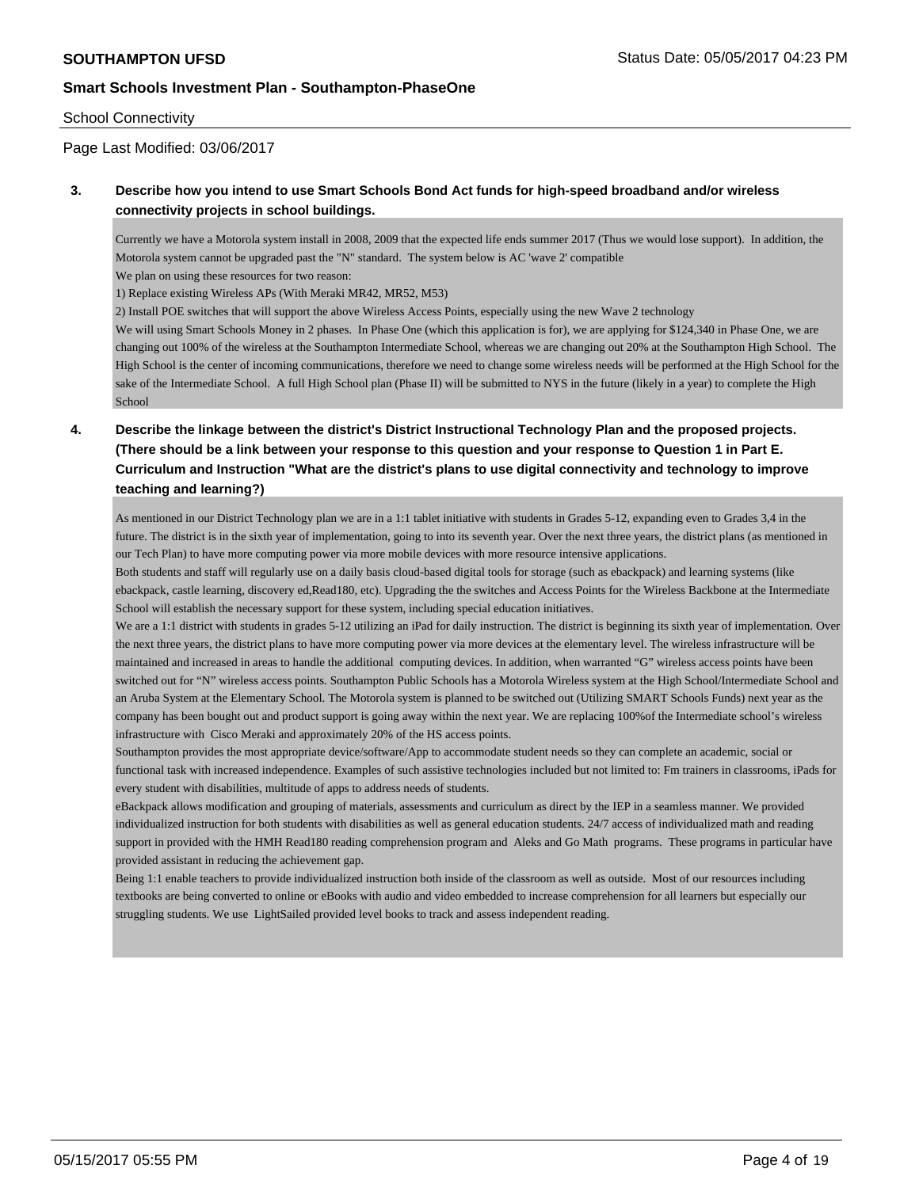## School Connectivity

Page Last Modified: 03/06/2017

## **3. Describe how you intend to use Smart Schools Bond Act funds for high-speed broadband and/or wireless connectivity projects in school buildings.**

Currently we have a Motorola system install in 2008, 2009 that the expected life ends summer 2017 (Thus we would lose support). In addition, the Motorola system cannot be upgraded past the "N" standard. The system below is AC 'wave 2' compatible

We plan on using these resources for two reason:

1) Replace existing Wireless APs (With Meraki MR42, MR52, M53)

2) Install POE switches that will support the above Wireless Access Points, especially using the new Wave 2 technology

We will using Smart Schools Money in 2 phases. In Phase One (which this application is for), we are applying for \$124,340 in Phase One, we are changing out 100% of the wireless at the Southampton Intermediate School, whereas we are changing out 20% at the Southampton High School. The High School is the center of incoming communications, therefore we need to change some wireless needs will be performed at the High School for the sake of the Intermediate School. A full High School plan (Phase II) will be submitted to NYS in the future (likely in a year) to complete the High School

# **4. Describe the linkage between the district's District Instructional Technology Plan and the proposed projects. (There should be a link between your response to this question and your response to Question 1 in Part E. Curriculum and Instruction "What are the district's plans to use digital connectivity and technology to improve teaching and learning?)**

As mentioned in our District Technology plan we are in a 1:1 tablet initiative with students in Grades 5-12, expanding even to Grades 3,4 in the future. The district is in the sixth year of implementation, going to into its seventh year. Over the next three years, the district plans (as mentioned in our Tech Plan) to have more computing power via more mobile devices with more resource intensive applications.

Both students and staff will regularly use on a daily basis cloud-based digital tools for storage (such as ebackpack) and learning systems (like ebackpack, castle learning, discovery ed,Read180, etc). Upgrading the the switches and Access Points for the Wireless Backbone at the Intermediate School will establish the necessary support for these system, including special education initiatives.

We are a 1:1 district with students in grades 5-12 utilizing an iPad for daily instruction. The district is beginning its sixth year of implementation. Over the next three years, the district plans to have more computing power via more devices at the elementary level. The wireless infrastructure will be maintained and increased in areas to handle the additional computing devices. In addition, when warranted "G" wireless access points have been switched out for "N" wireless access points. Southampton Public Schools has a Motorola Wireless system at the High School/Intermediate School and an Aruba System at the Elementary School. The Motorola system is planned to be switched out (Utilizing SMART Schools Funds) next year as the company has been bought out and product support is going away within the next year. We are replacing 100%of the Intermediate school's wireless infrastructure with Cisco Meraki and approximately 20% of the HS access points.

Southampton provides the most appropriate device/software/App to accommodate student needs so they can complete an academic, social or functional task with increased independence. Examples of such assistive technologies included but not limited to: Fm trainers in classrooms, iPads for every student with disabilities, multitude of apps to address needs of students.

eBackpack allows modification and grouping of materials, assessments and curriculum as direct by the IEP in a seamless manner. We provided individualized instruction for both students with disabilities as well as general education students. 24/7 access of individualized math and reading support in provided with the HMH Read180 reading comprehension program and Aleks and Go Math programs. These programs in particular have provided assistant in reducing the achievement gap.

Being 1:1 enable teachers to provide individualized instruction both inside of the classroom as well as outside. Most of our resources including textbooks are being converted to online or eBooks with audio and video embedded to increase comprehension for all learners but especially our struggling students. We use LightSailed provided level books to track and assess independent reading.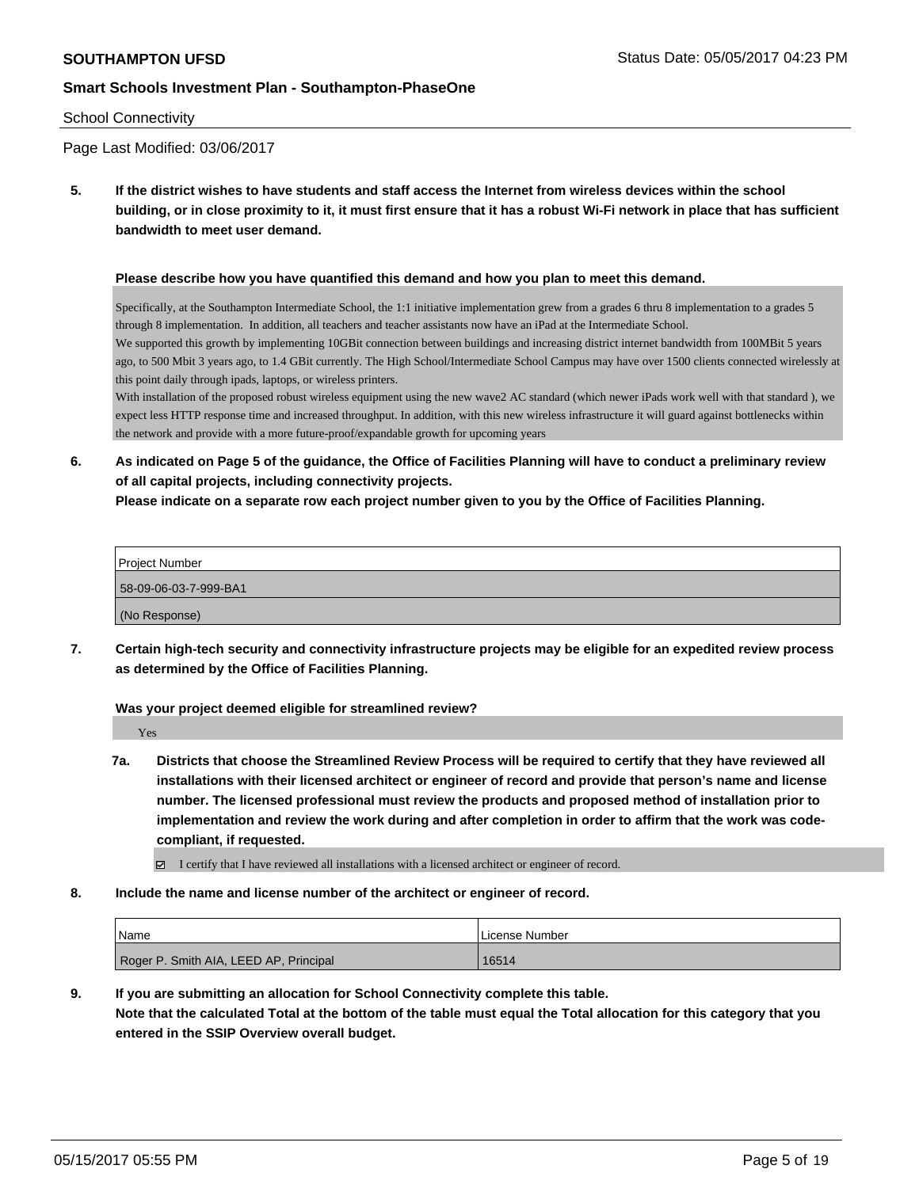#### School Connectivity

Page Last Modified: 03/06/2017

**5. If the district wishes to have students and staff access the Internet from wireless devices within the school building, or in close proximity to it, it must first ensure that it has a robust Wi-Fi network in place that has sufficient bandwidth to meet user demand.**

#### **Please describe how you have quantified this demand and how you plan to meet this demand.**

Specifically, at the Southampton Intermediate School, the 1:1 initiative implementation grew from a grades 6 thru 8 implementation to a grades 5 through 8 implementation. In addition, all teachers and teacher assistants now have an iPad at the Intermediate School. We supported this growth by implementing 10GBit connection between buildings and increasing district internet bandwidth from 100MBit 5 years ago, to 500 Mbit 3 years ago, to 1.4 GBit currently. The High School/Intermediate School Campus may have over 1500 clients connected wirelessly at this point daily through ipads, laptops, or wireless printers.

With installation of the proposed robust wireless equipment using the new wave2 AC standard (which newer iPads work well with that standard ), we expect less HTTP response time and increased throughput. In addition, with this new wireless infrastructure it will guard against bottlenecks within the network and provide with a more future-proof/expandable growth for upcoming years

**6. As indicated on Page 5 of the guidance, the Office of Facilities Planning will have to conduct a preliminary review of all capital projects, including connectivity projects.**

**Please indicate on a separate row each project number given to you by the Office of Facilities Planning.**

| Project Number        |
|-----------------------|
| 58-09-06-03-7-999-BA1 |
| (No Response)         |

**7. Certain high-tech security and connectivity infrastructure projects may be eligible for an expedited review process as determined by the Office of Facilities Planning.**

**Was your project deemed eligible for streamlined review?**

Yes

**7a. Districts that choose the Streamlined Review Process will be required to certify that they have reviewed all installations with their licensed architect or engineer of record and provide that person's name and license number. The licensed professional must review the products and proposed method of installation prior to implementation and review the work during and after completion in order to affirm that the work was codecompliant, if requested.**

I certify that I have reviewed all installations with a licensed architect or engineer of record.

**8. Include the name and license number of the architect or engineer of record.**

| <sup>'</sup> Name                      | License Number |
|----------------------------------------|----------------|
| Roger P. Smith AIA, LEED AP, Principal | 16514          |

**9. If you are submitting an allocation for School Connectivity complete this table.**

**Note that the calculated Total at the bottom of the table must equal the Total allocation for this category that you entered in the SSIP Overview overall budget.**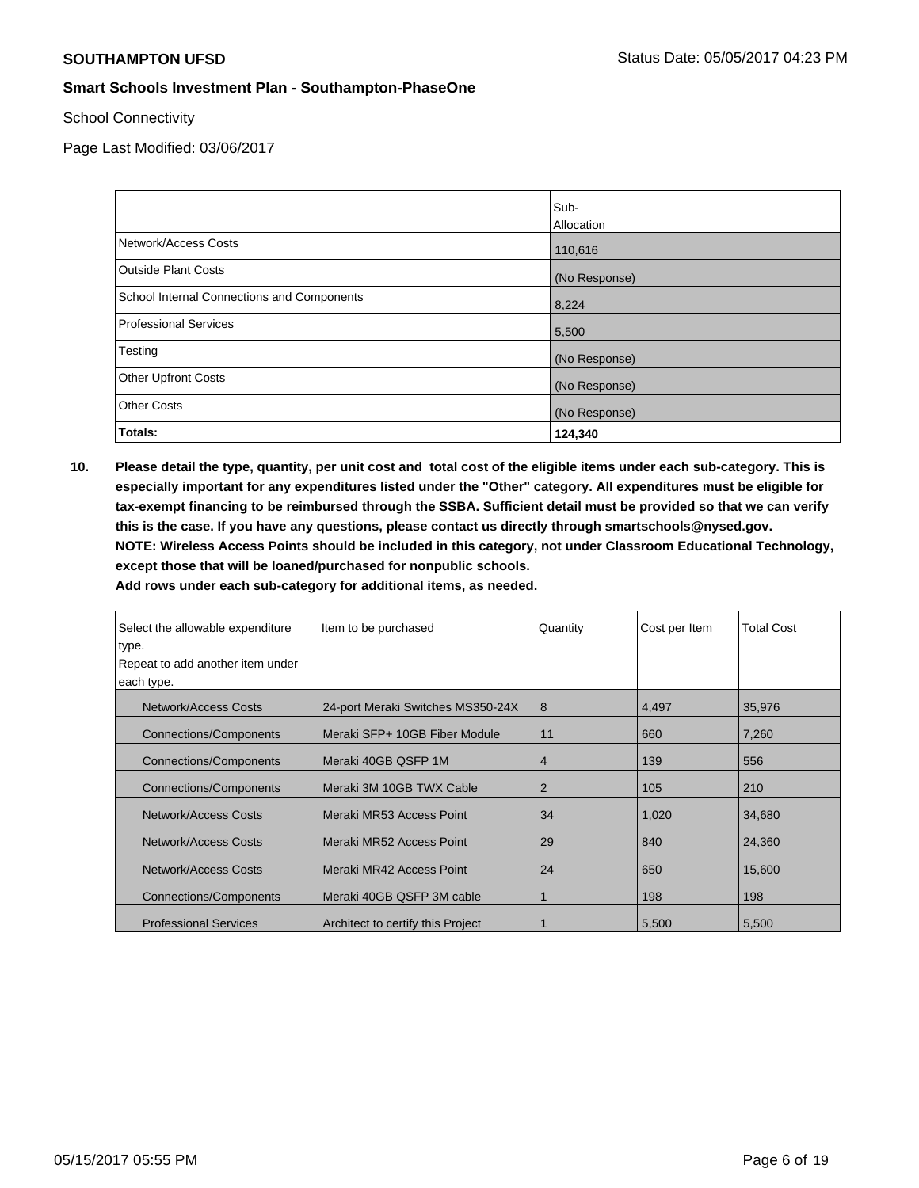School Connectivity

Page Last Modified: 03/06/2017

|                                            | Sub-          |
|--------------------------------------------|---------------|
|                                            | Allocation    |
| Network/Access Costs                       | 110,616       |
| <b>Outside Plant Costs</b>                 | (No Response) |
| School Internal Connections and Components | 8,224         |
| <b>Professional Services</b>               | 5,500         |
| Testing                                    | (No Response) |
| <b>Other Upfront Costs</b>                 | (No Response) |
| <b>Other Costs</b>                         | (No Response) |
| Totals:                                    | 124,340       |

**10. Please detail the type, quantity, per unit cost and total cost of the eligible items under each sub-category. This is especially important for any expenditures listed under the "Other" category. All expenditures must be eligible for tax-exempt financing to be reimbursed through the SSBA. Sufficient detail must be provided so that we can verify this is the case. If you have any questions, please contact us directly through smartschools@nysed.gov. NOTE: Wireless Access Points should be included in this category, not under Classroom Educational Technology, except those that will be loaned/purchased for nonpublic schools.**

| Select the allowable expenditure | Item to be purchased              | Quantity | Cost per Item | <b>Total Cost</b> |
|----------------------------------|-----------------------------------|----------|---------------|-------------------|
| type.                            |                                   |          |               |                   |
| Repeat to add another item under |                                   |          |               |                   |
| each type.                       |                                   |          |               |                   |
| Network/Access Costs             | 24-port Meraki Switches MS350-24X | 8        | 4,497         | 35,976            |
| <b>Connections/Components</b>    | Meraki SFP+ 10GB Fiber Module     | 11       | 660           | 7,260             |
| <b>Connections/Components</b>    | Meraki 40GB QSFP 1M               | 4        | 139           | 556               |
| <b>Connections/Components</b>    | Meraki 3M 10GB TWX Cable          | 2        | 105           | 210               |
| Network/Access Costs             | Meraki MR53 Access Point          | 34       | 1,020         | 34,680            |
| Network/Access Costs             | Meraki MR52 Access Point          | 29       | 840           | 24,360            |
| Network/Access Costs             | Meraki MR42 Access Point          | 24       | 650           | 15,600            |
| <b>Connections/Components</b>    | Meraki 40GB QSFP 3M cable         |          | 198           | 198               |
| <b>Professional Services</b>     | Architect to certify this Project |          | 5,500         | 5,500             |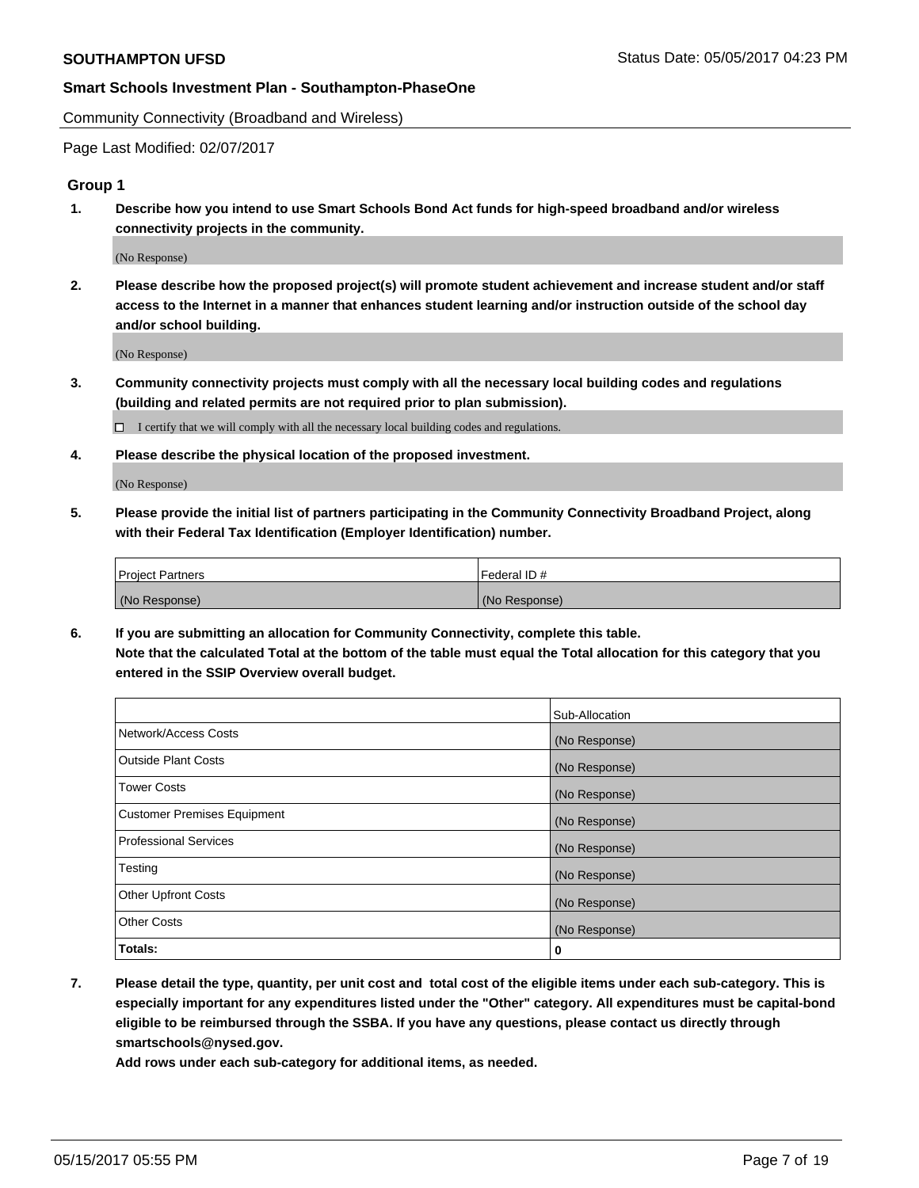Community Connectivity (Broadband and Wireless)

Page Last Modified: 02/07/2017

#### **Group 1**

**1. Describe how you intend to use Smart Schools Bond Act funds for high-speed broadband and/or wireless connectivity projects in the community.**

(No Response)

**2. Please describe how the proposed project(s) will promote student achievement and increase student and/or staff access to the Internet in a manner that enhances student learning and/or instruction outside of the school day and/or school building.**

(No Response)

**3. Community connectivity projects must comply with all the necessary local building codes and regulations (building and related permits are not required prior to plan submission).**

 $\Box$  I certify that we will comply with all the necessary local building codes and regulations.

**4. Please describe the physical location of the proposed investment.**

(No Response)

**5. Please provide the initial list of partners participating in the Community Connectivity Broadband Project, along with their Federal Tax Identification (Employer Identification) number.**

| <b>Project Partners</b> | Federal ID#     |
|-------------------------|-----------------|
| (No Response)           | l (No Response) |

**6. If you are submitting an allocation for Community Connectivity, complete this table. Note that the calculated Total at the bottom of the table must equal the Total allocation for this category that you entered in the SSIP Overview overall budget.**

|                              | Sub-Allocation |
|------------------------------|----------------|
| Network/Access Costs         | (No Response)  |
| Outside Plant Costs          | (No Response)  |
| <b>Tower Costs</b>           | (No Response)  |
| Customer Premises Equipment  | (No Response)  |
| <b>Professional Services</b> | (No Response)  |
| Testing                      | (No Response)  |
| <b>Other Upfront Costs</b>   | (No Response)  |
| <b>Other Costs</b>           | (No Response)  |
| Totals:                      | 0              |

**7. Please detail the type, quantity, per unit cost and total cost of the eligible items under each sub-category. This is especially important for any expenditures listed under the "Other" category. All expenditures must be capital-bond eligible to be reimbursed through the SSBA. If you have any questions, please contact us directly through smartschools@nysed.gov.**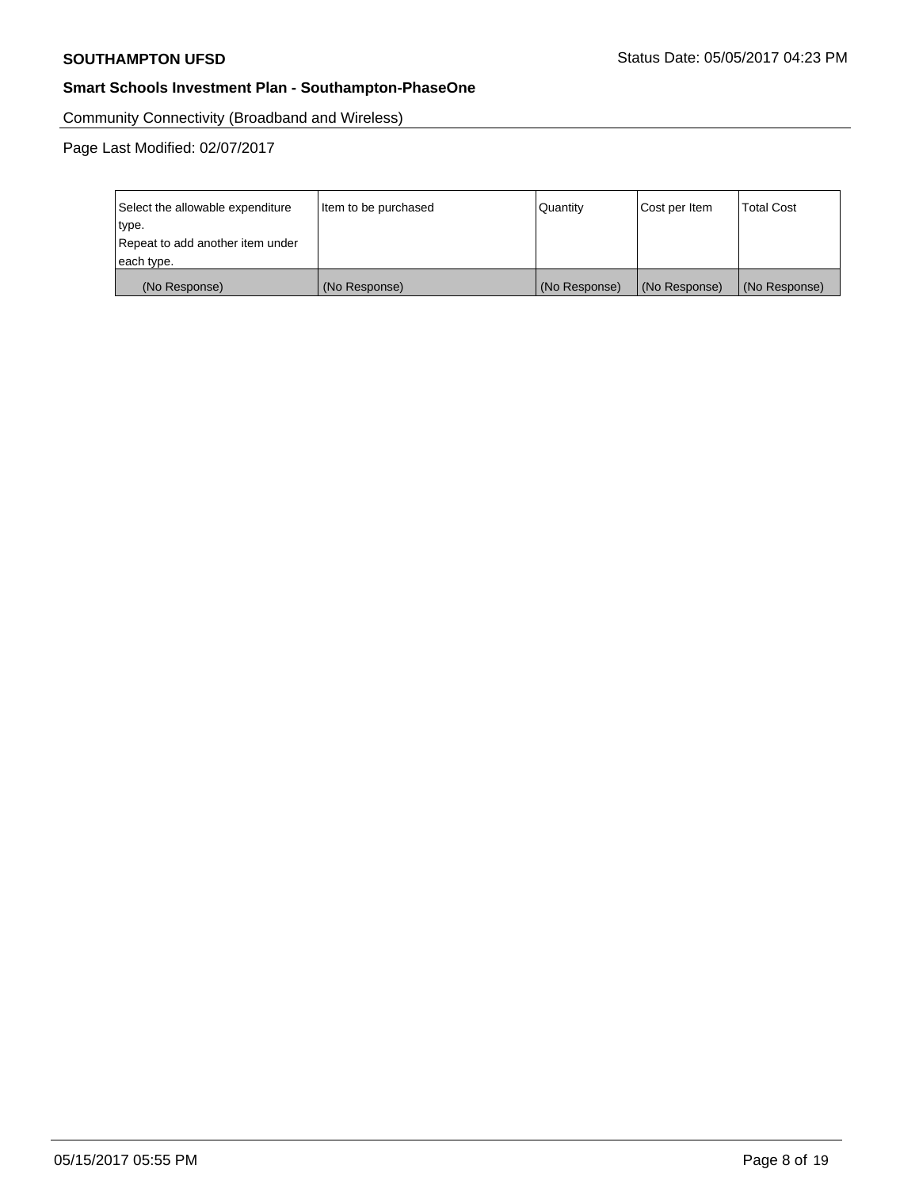Community Connectivity (Broadband and Wireless)

| Select the allowable expenditure<br>type.<br>Repeat to add another item under | Item to be purchased | Quantity      | Cost per Item | <b>Total Cost</b> |
|-------------------------------------------------------------------------------|----------------------|---------------|---------------|-------------------|
| each type.                                                                    |                      |               |               |                   |
| (No Response)                                                                 | (No Response)        | (No Response) | (No Response) | (No Response)     |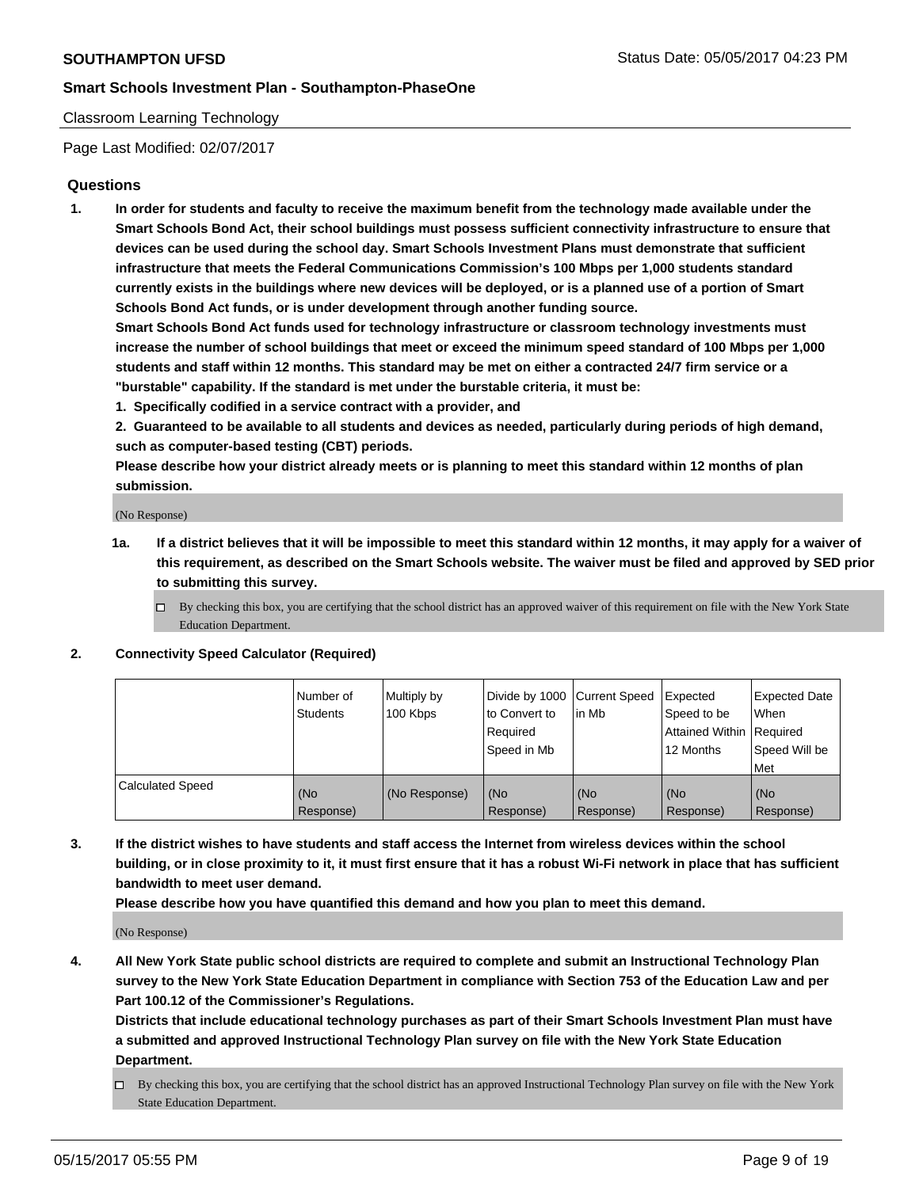#### Classroom Learning Technology

Page Last Modified: 02/07/2017

## **Questions**

**1. In order for students and faculty to receive the maximum benefit from the technology made available under the Smart Schools Bond Act, their school buildings must possess sufficient connectivity infrastructure to ensure that devices can be used during the school day. Smart Schools Investment Plans must demonstrate that sufficient infrastructure that meets the Federal Communications Commission's 100 Mbps per 1,000 students standard currently exists in the buildings where new devices will be deployed, or is a planned use of a portion of Smart Schools Bond Act funds, or is under development through another funding source.**

**Smart Schools Bond Act funds used for technology infrastructure or classroom technology investments must increase the number of school buildings that meet or exceed the minimum speed standard of 100 Mbps per 1,000 students and staff within 12 months. This standard may be met on either a contracted 24/7 firm service or a "burstable" capability. If the standard is met under the burstable criteria, it must be:**

- **1. Specifically codified in a service contract with a provider, and**
- **2. Guaranteed to be available to all students and devices as needed, particularly during periods of high demand, such as computer-based testing (CBT) periods.**

**Please describe how your district already meets or is planning to meet this standard within 12 months of plan submission.**

(No Response)

- **1a. If a district believes that it will be impossible to meet this standard within 12 months, it may apply for a waiver of this requirement, as described on the Smart Schools website. The waiver must be filed and approved by SED prior to submitting this survey.**
	- $\Box$  By checking this box, you are certifying that the school district has an approved waiver of this requirement on file with the New York State Education Department.

#### **2. Connectivity Speed Calculator (Required)**

|                         | l Number of<br>Students | Multiply by<br>100 Kbps | Divide by 1000   Current Speed<br>to Convert to<br>Required<br>Speed in Mb | lin Mb           | Expected<br>Speed to be<br>Attained Within Required<br>12 Months | <b>Expected Date</b><br>When<br>Speed Will be<br>Met |
|-------------------------|-------------------------|-------------------------|----------------------------------------------------------------------------|------------------|------------------------------------------------------------------|------------------------------------------------------|
| <b>Calculated Speed</b> | (No<br>Response)        | (No Response)           | (No<br>Response)                                                           | (No<br>Response) | (No<br>Response)                                                 | (No<br>Response)                                     |

**3. If the district wishes to have students and staff access the Internet from wireless devices within the school building, or in close proximity to it, it must first ensure that it has a robust Wi-Fi network in place that has sufficient bandwidth to meet user demand.**

**Please describe how you have quantified this demand and how you plan to meet this demand.**

(No Response)

**4. All New York State public school districts are required to complete and submit an Instructional Technology Plan survey to the New York State Education Department in compliance with Section 753 of the Education Law and per Part 100.12 of the Commissioner's Regulations.**

**Districts that include educational technology purchases as part of their Smart Schools Investment Plan must have a submitted and approved Instructional Technology Plan survey on file with the New York State Education Department.**

 $\Box$  By checking this box, you are certifying that the school district has an approved Instructional Technology Plan survey on file with the New York State Education Department.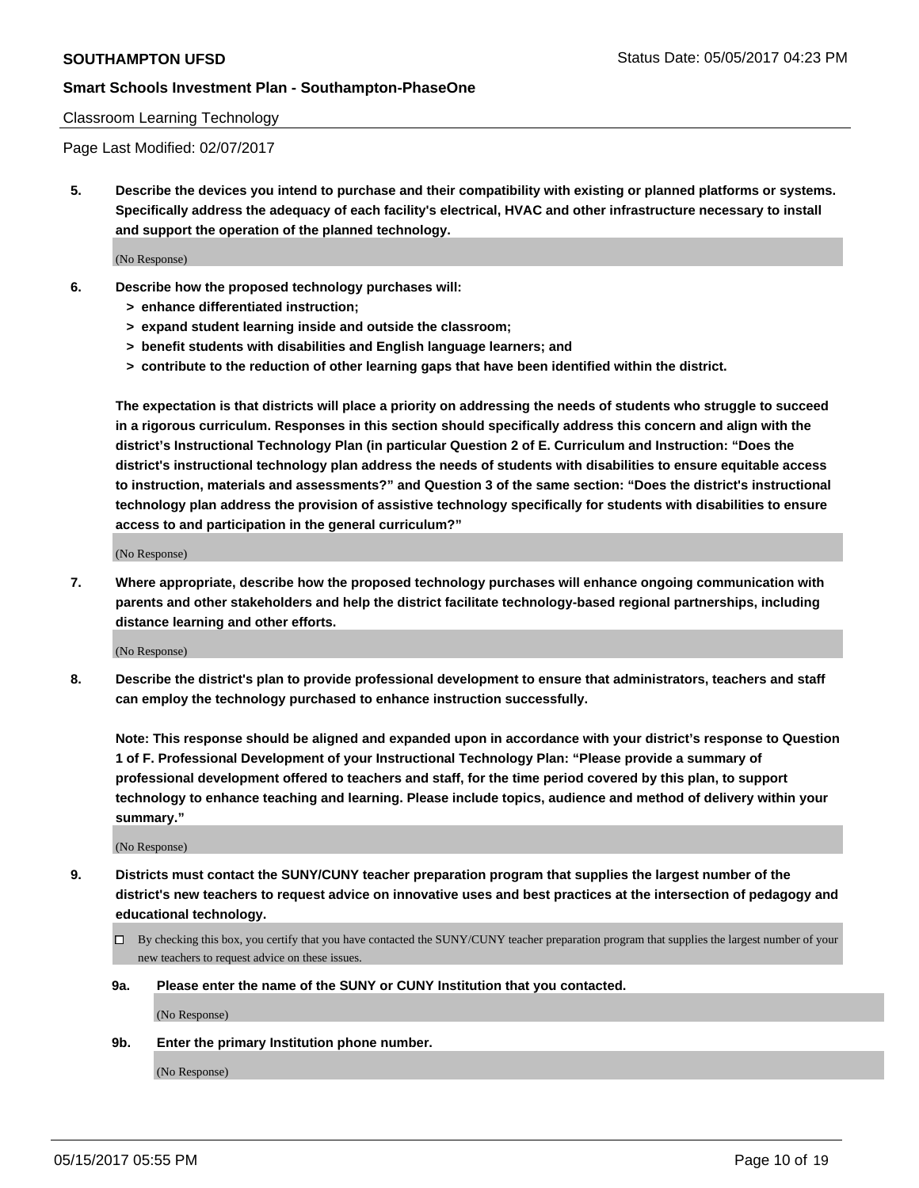#### Classroom Learning Technology

Page Last Modified: 02/07/2017

**5. Describe the devices you intend to purchase and their compatibility with existing or planned platforms or systems. Specifically address the adequacy of each facility's electrical, HVAC and other infrastructure necessary to install and support the operation of the planned technology.**

(No Response)

- **6. Describe how the proposed technology purchases will:**
	- **> enhance differentiated instruction;**
	- **> expand student learning inside and outside the classroom;**
	- **> benefit students with disabilities and English language learners; and**
	- **> contribute to the reduction of other learning gaps that have been identified within the district.**

**The expectation is that districts will place a priority on addressing the needs of students who struggle to succeed in a rigorous curriculum. Responses in this section should specifically address this concern and align with the district's Instructional Technology Plan (in particular Question 2 of E. Curriculum and Instruction: "Does the district's instructional technology plan address the needs of students with disabilities to ensure equitable access to instruction, materials and assessments?" and Question 3 of the same section: "Does the district's instructional technology plan address the provision of assistive technology specifically for students with disabilities to ensure access to and participation in the general curriculum?"**

(No Response)

**7. Where appropriate, describe how the proposed technology purchases will enhance ongoing communication with parents and other stakeholders and help the district facilitate technology-based regional partnerships, including distance learning and other efforts.**

(No Response)

**8. Describe the district's plan to provide professional development to ensure that administrators, teachers and staff can employ the technology purchased to enhance instruction successfully.**

**Note: This response should be aligned and expanded upon in accordance with your district's response to Question 1 of F. Professional Development of your Instructional Technology Plan: "Please provide a summary of professional development offered to teachers and staff, for the time period covered by this plan, to support technology to enhance teaching and learning. Please include topics, audience and method of delivery within your summary."**

(No Response)

- **9. Districts must contact the SUNY/CUNY teacher preparation program that supplies the largest number of the district's new teachers to request advice on innovative uses and best practices at the intersection of pedagogy and educational technology.**
	- By checking this box, you certify that you have contacted the SUNY/CUNY teacher preparation program that supplies the largest number of your new teachers to request advice on these issues.
	- **9a. Please enter the name of the SUNY or CUNY Institution that you contacted.**

(No Response)

**9b. Enter the primary Institution phone number.**

(No Response)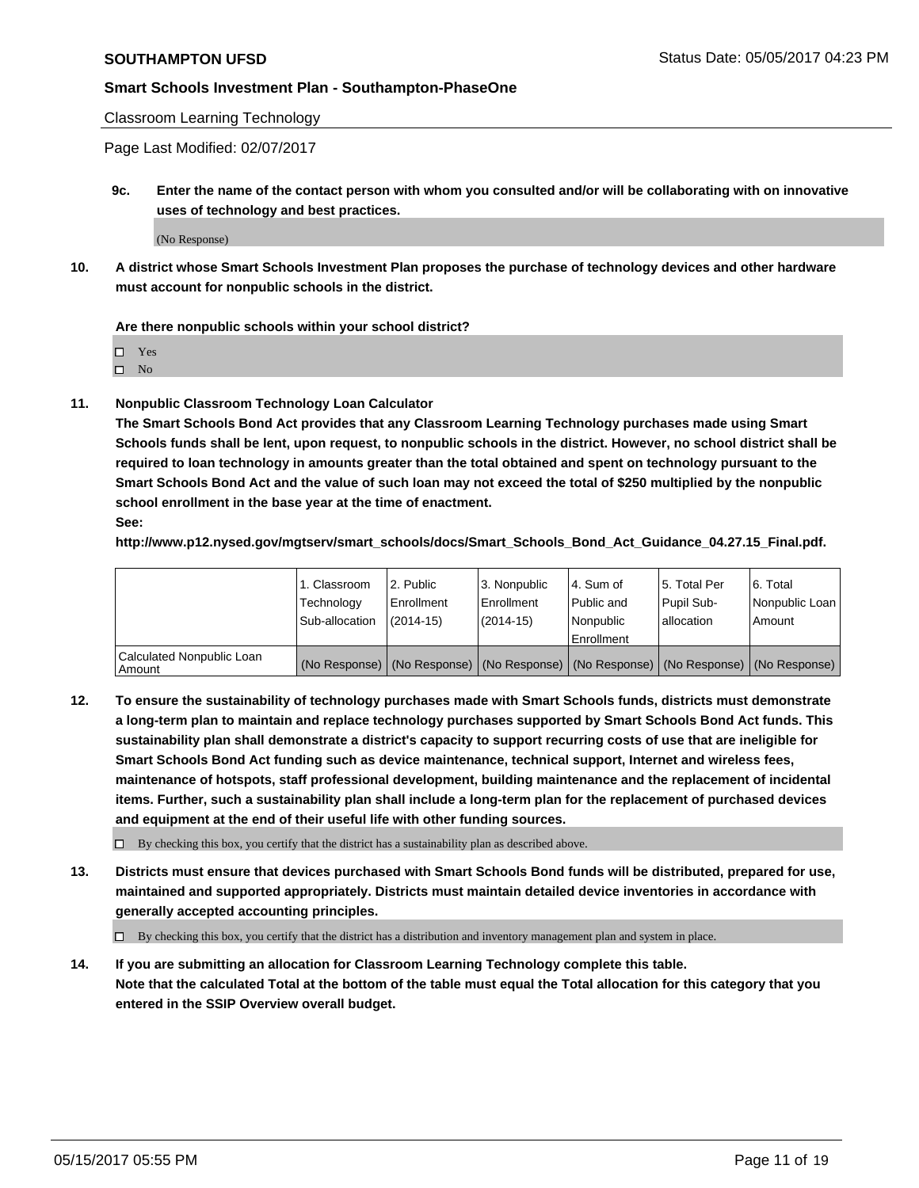Classroom Learning Technology

Page Last Modified: 02/07/2017

**9c. Enter the name of the contact person with whom you consulted and/or will be collaborating with on innovative uses of technology and best practices.**

(No Response)

**10. A district whose Smart Schools Investment Plan proposes the purchase of technology devices and other hardware must account for nonpublic schools in the district.**

**Are there nonpublic schools within your school district?**

Yes

 $\square$  No

**11. Nonpublic Classroom Technology Loan Calculator**

**The Smart Schools Bond Act provides that any Classroom Learning Technology purchases made using Smart Schools funds shall be lent, upon request, to nonpublic schools in the district. However, no school district shall be required to loan technology in amounts greater than the total obtained and spent on technology pursuant to the Smart Schools Bond Act and the value of such loan may not exceed the total of \$250 multiplied by the nonpublic school enrollment in the base year at the time of enactment.**

**See:**

**http://www.p12.nysed.gov/mgtserv/smart\_schools/docs/Smart\_Schools\_Bond\_Act\_Guidance\_04.27.15\_Final.pdf.**

|                                       | 1. Classroom<br>Technology | l 2. Public<br>Enrollment | 3. Nonpublic<br>Enrollment | l 4. Sum of<br>Public and | 15. Total Per<br>Pupil Sub- | 6. Total<br>Nonpublic Loan                                                                    |
|---------------------------------------|----------------------------|---------------------------|----------------------------|---------------------------|-----------------------------|-----------------------------------------------------------------------------------------------|
|                                       | Sub-allocation             | $(2014-15)$               | $(2014-15)$                | l Nonpublic               | allocation                  | Amount                                                                                        |
|                                       |                            |                           |                            | Enrollment                |                             |                                                                                               |
| Calculated Nonpublic Loan<br>  Amount |                            |                           |                            |                           |                             | (No Response)   (No Response)   (No Response)   (No Response)   (No Response)   (No Response) |

**12. To ensure the sustainability of technology purchases made with Smart Schools funds, districts must demonstrate a long-term plan to maintain and replace technology purchases supported by Smart Schools Bond Act funds. This sustainability plan shall demonstrate a district's capacity to support recurring costs of use that are ineligible for Smart Schools Bond Act funding such as device maintenance, technical support, Internet and wireless fees, maintenance of hotspots, staff professional development, building maintenance and the replacement of incidental items. Further, such a sustainability plan shall include a long-term plan for the replacement of purchased devices and equipment at the end of their useful life with other funding sources.**

 $\Box$  By checking this box, you certify that the district has a sustainability plan as described above.

**13. Districts must ensure that devices purchased with Smart Schools Bond funds will be distributed, prepared for use, maintained and supported appropriately. Districts must maintain detailed device inventories in accordance with generally accepted accounting principles.**

By checking this box, you certify that the district has a distribution and inventory management plan and system in place.

**14. If you are submitting an allocation for Classroom Learning Technology complete this table. Note that the calculated Total at the bottom of the table must equal the Total allocation for this category that you entered in the SSIP Overview overall budget.**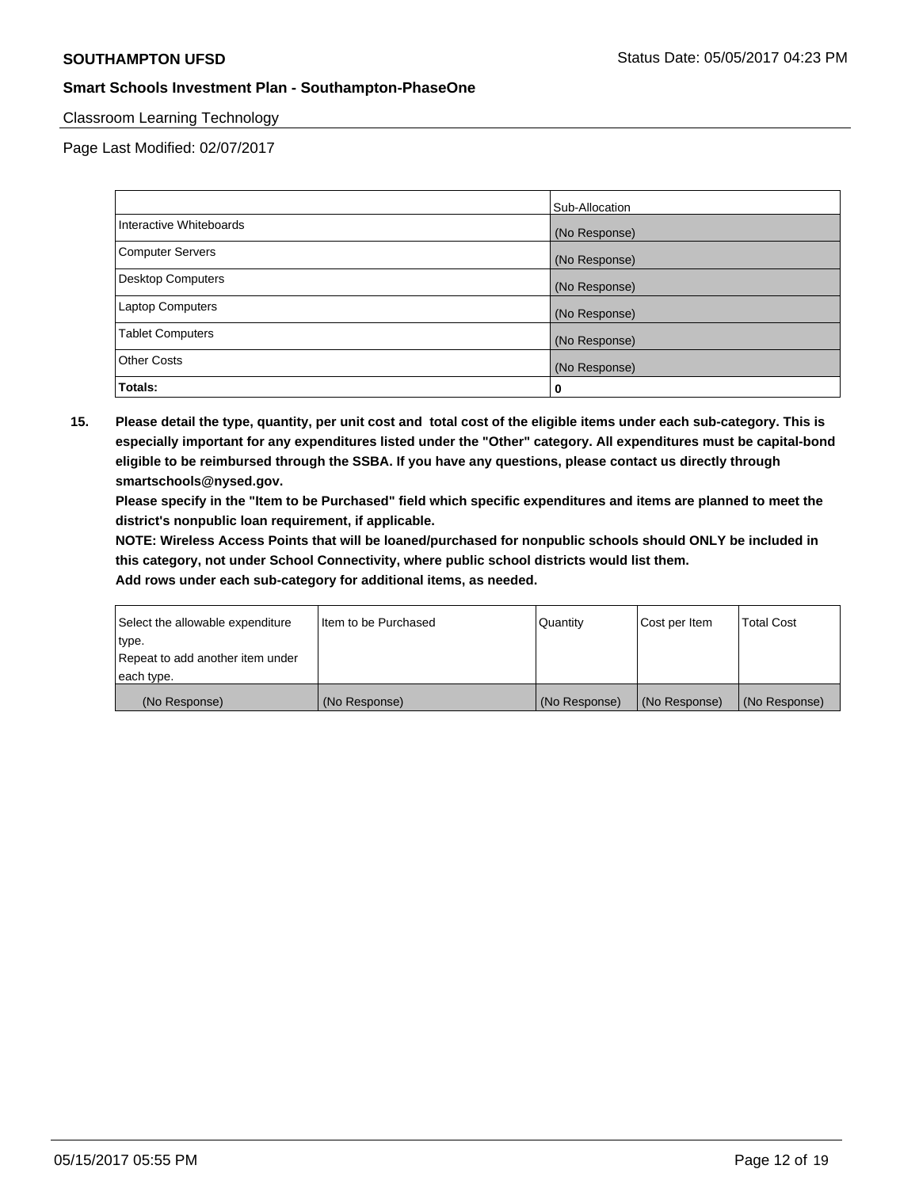#### Classroom Learning Technology

Page Last Modified: 02/07/2017

|                          | Sub-Allocation |
|--------------------------|----------------|
| Interactive Whiteboards  | (No Response)  |
| Computer Servers         | (No Response)  |
| <b>Desktop Computers</b> | (No Response)  |
| <b>Laptop Computers</b>  | (No Response)  |
| <b>Tablet Computers</b>  | (No Response)  |
| <b>Other Costs</b>       | (No Response)  |
| Totals:                  | 0              |

**15. Please detail the type, quantity, per unit cost and total cost of the eligible items under each sub-category. This is especially important for any expenditures listed under the "Other" category. All expenditures must be capital-bond eligible to be reimbursed through the SSBA. If you have any questions, please contact us directly through smartschools@nysed.gov.**

**Please specify in the "Item to be Purchased" field which specific expenditures and items are planned to meet the district's nonpublic loan requirement, if applicable.**

**NOTE: Wireless Access Points that will be loaned/purchased for nonpublic schools should ONLY be included in this category, not under School Connectivity, where public school districts would list them.**

| (No Response)                    | (No Response)        | (No Response) | (No Response) | (No Response)     |
|----------------------------------|----------------------|---------------|---------------|-------------------|
| each type.                       |                      |               |               |                   |
| Repeat to add another item under |                      |               |               |                   |
| ∣type.                           |                      |               |               |                   |
| Select the allowable expenditure | Item to be Purchased | Quantity      | Cost per Item | <b>Total Cost</b> |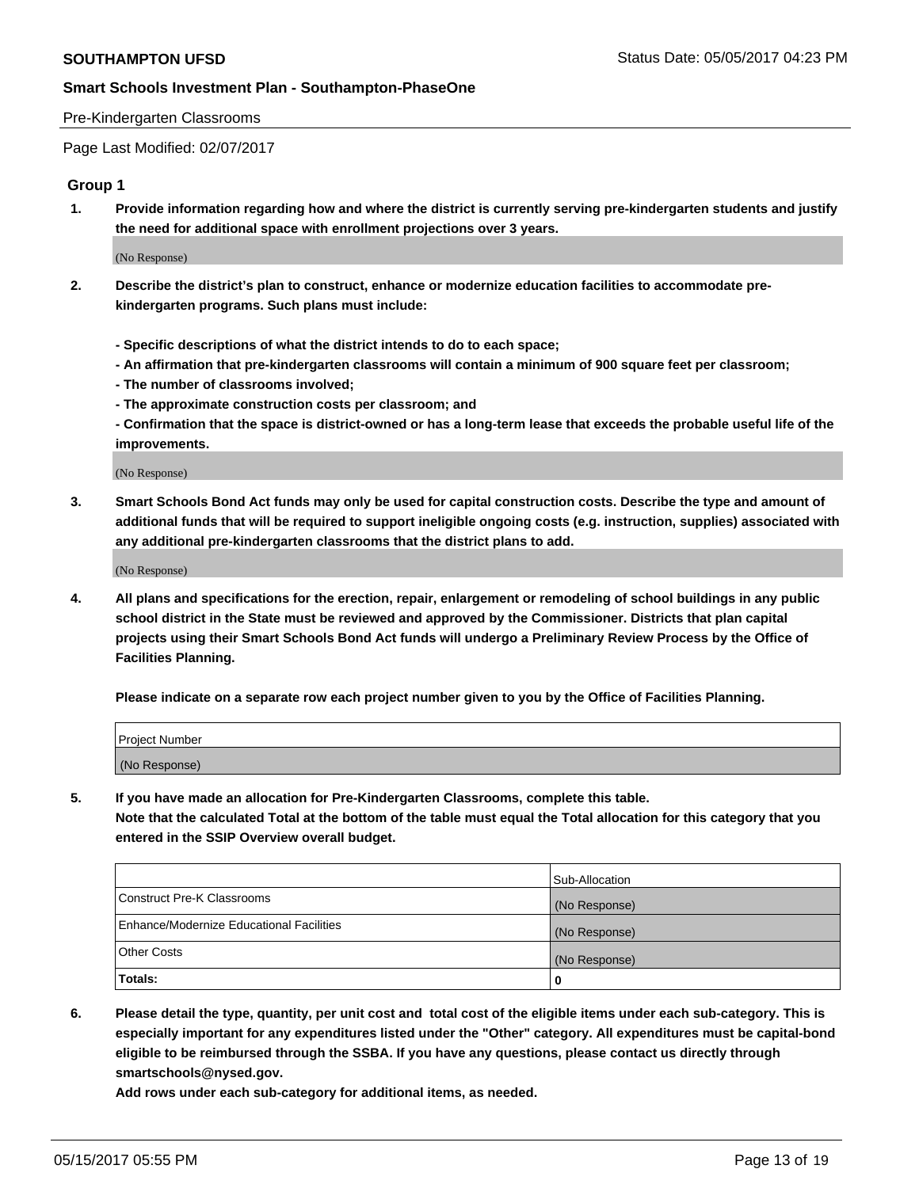#### Pre-Kindergarten Classrooms

Page Last Modified: 02/07/2017

#### **Group 1**

**1. Provide information regarding how and where the district is currently serving pre-kindergarten students and justify the need for additional space with enrollment projections over 3 years.**

(No Response)

- **2. Describe the district's plan to construct, enhance or modernize education facilities to accommodate prekindergarten programs. Such plans must include:**
	- **Specific descriptions of what the district intends to do to each space;**
	- **An affirmation that pre-kindergarten classrooms will contain a minimum of 900 square feet per classroom;**
	- **The number of classrooms involved;**
	- **The approximate construction costs per classroom; and**
	- **Confirmation that the space is district-owned or has a long-term lease that exceeds the probable useful life of the improvements.**

(No Response)

**3. Smart Schools Bond Act funds may only be used for capital construction costs. Describe the type and amount of additional funds that will be required to support ineligible ongoing costs (e.g. instruction, supplies) associated with any additional pre-kindergarten classrooms that the district plans to add.**

(No Response)

**4. All plans and specifications for the erection, repair, enlargement or remodeling of school buildings in any public school district in the State must be reviewed and approved by the Commissioner. Districts that plan capital projects using their Smart Schools Bond Act funds will undergo a Preliminary Review Process by the Office of Facilities Planning.**

**Please indicate on a separate row each project number given to you by the Office of Facilities Planning.**

| Project Number |  |
|----------------|--|
| (No Response)  |  |

**5. If you have made an allocation for Pre-Kindergarten Classrooms, complete this table. Note that the calculated Total at the bottom of the table must equal the Total allocation for this category that you entered in the SSIP Overview overall budget.**

|                                          | Sub-Allocation |
|------------------------------------------|----------------|
| Construct Pre-K Classrooms               | (No Response)  |
| Enhance/Modernize Educational Facilities | (No Response)  |
| Other Costs                              | (No Response)  |
| Totals:                                  | 0              |

**6. Please detail the type, quantity, per unit cost and total cost of the eligible items under each sub-category. This is especially important for any expenditures listed under the "Other" category. All expenditures must be capital-bond eligible to be reimbursed through the SSBA. If you have any questions, please contact us directly through smartschools@nysed.gov.**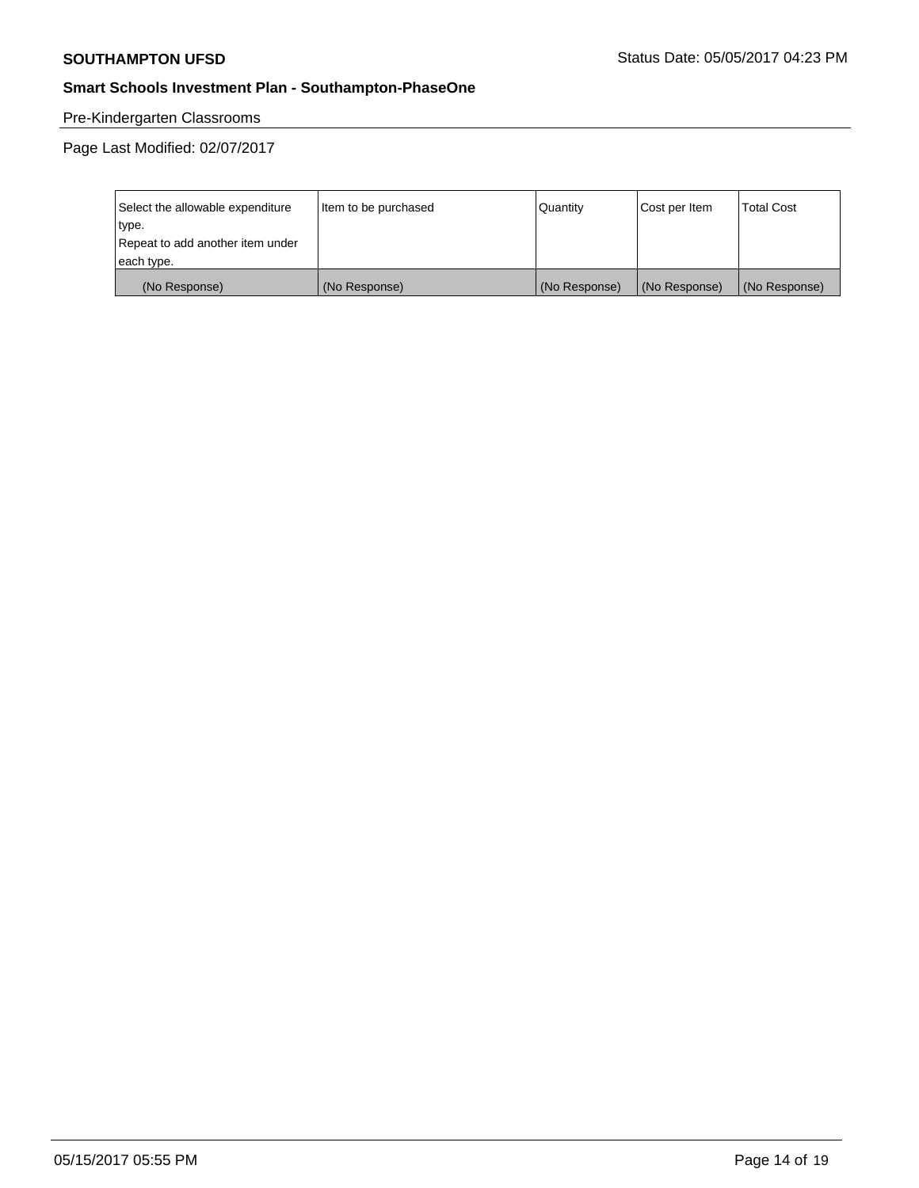# Pre-Kindergarten Classrooms

| Select the allowable expenditure | Item to be purchased | Quantity      | Cost per Item | <b>Total Cost</b> |
|----------------------------------|----------------------|---------------|---------------|-------------------|
| type.                            |                      |               |               |                   |
| Repeat to add another item under |                      |               |               |                   |
| each type.                       |                      |               |               |                   |
| (No Response)                    | (No Response)        | (No Response) | (No Response) | (No Response)     |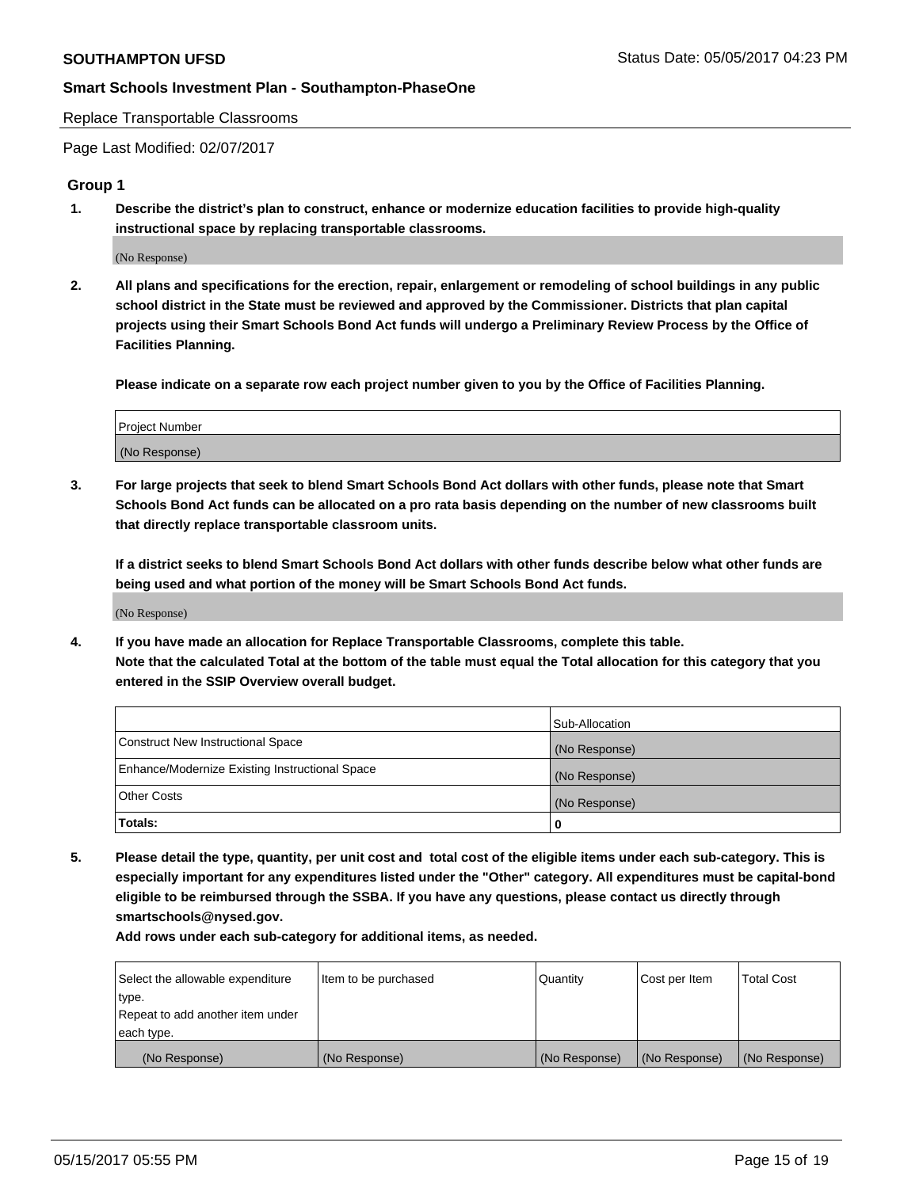Replace Transportable Classrooms

Page Last Modified: 02/07/2017

#### **Group 1**

**1. Describe the district's plan to construct, enhance or modernize education facilities to provide high-quality instructional space by replacing transportable classrooms.**

(No Response)

**2. All plans and specifications for the erection, repair, enlargement or remodeling of school buildings in any public school district in the State must be reviewed and approved by the Commissioner. Districts that plan capital projects using their Smart Schools Bond Act funds will undergo a Preliminary Review Process by the Office of Facilities Planning.**

**Please indicate on a separate row each project number given to you by the Office of Facilities Planning.**

| Project Number |  |
|----------------|--|
| (No Response)  |  |

**3. For large projects that seek to blend Smart Schools Bond Act dollars with other funds, please note that Smart Schools Bond Act funds can be allocated on a pro rata basis depending on the number of new classrooms built that directly replace transportable classroom units.**

**If a district seeks to blend Smart Schools Bond Act dollars with other funds describe below what other funds are being used and what portion of the money will be Smart Schools Bond Act funds.**

(No Response)

**4. If you have made an allocation for Replace Transportable Classrooms, complete this table. Note that the calculated Total at the bottom of the table must equal the Total allocation for this category that you entered in the SSIP Overview overall budget.**

|                                                | Sub-Allocation |
|------------------------------------------------|----------------|
| Construct New Instructional Space              | (No Response)  |
| Enhance/Modernize Existing Instructional Space | (No Response)  |
| Other Costs                                    | (No Response)  |
| Totals:                                        | $\Omega$       |

**5. Please detail the type, quantity, per unit cost and total cost of the eligible items under each sub-category. This is especially important for any expenditures listed under the "Other" category. All expenditures must be capital-bond eligible to be reimbursed through the SSBA. If you have any questions, please contact us directly through smartschools@nysed.gov.**

| Select the allowable expenditure | Item to be purchased | Quantity      | Cost per Item | <b>Total Cost</b> |
|----------------------------------|----------------------|---------------|---------------|-------------------|
| type.                            |                      |               |               |                   |
| Repeat to add another item under |                      |               |               |                   |
| each type.                       |                      |               |               |                   |
| (No Response)                    | (No Response)        | (No Response) | (No Response) | (No Response)     |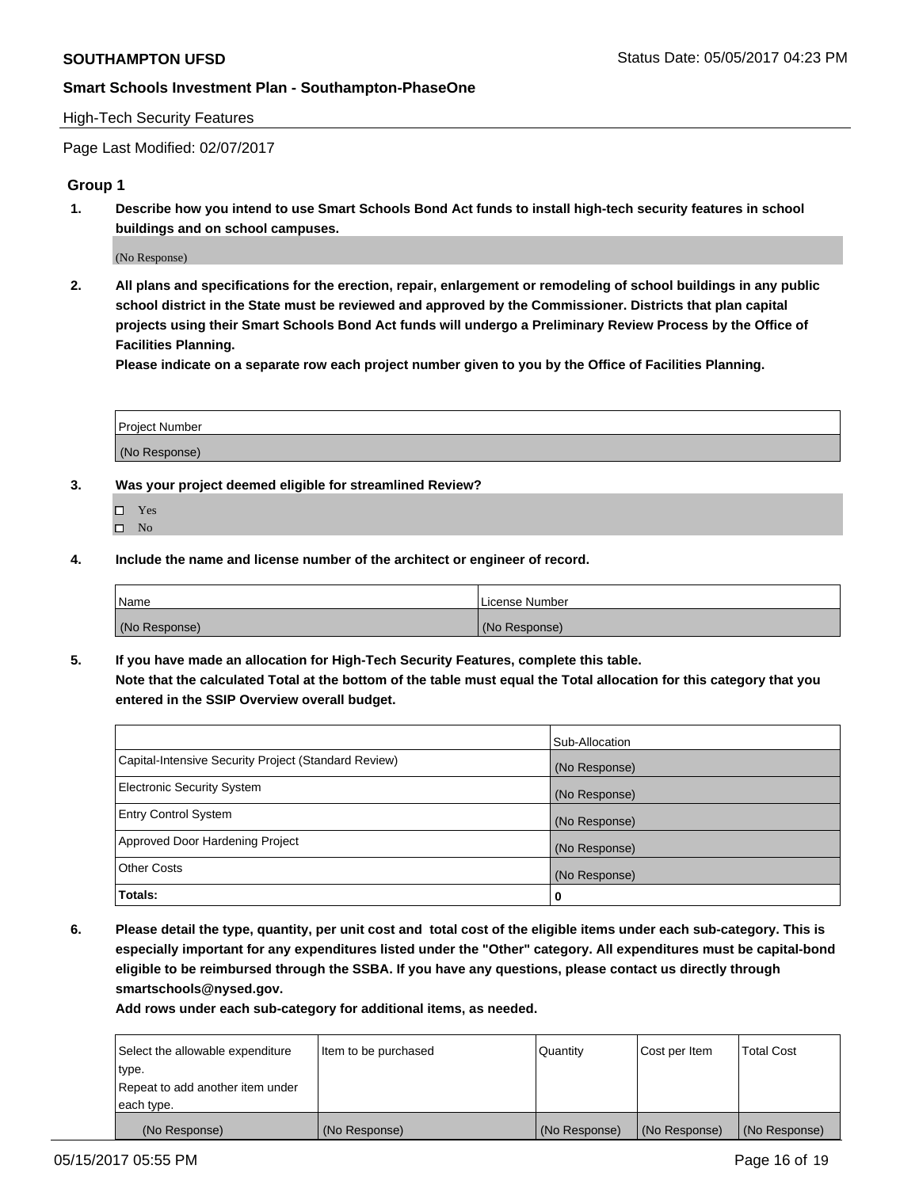#### High-Tech Security Features

Page Last Modified: 02/07/2017

#### **Group 1**

**1. Describe how you intend to use Smart Schools Bond Act funds to install high-tech security features in school buildings and on school campuses.**

(No Response)

**2. All plans and specifications for the erection, repair, enlargement or remodeling of school buildings in any public school district in the State must be reviewed and approved by the Commissioner. Districts that plan capital projects using their Smart Schools Bond Act funds will undergo a Preliminary Review Process by the Office of Facilities Planning.** 

**Please indicate on a separate row each project number given to you by the Office of Facilities Planning.**

| Project Number |  |
|----------------|--|
|                |  |
|                |  |
|                |  |
| (No Response)  |  |
|                |  |

- **3. Was your project deemed eligible for streamlined Review?**
	- Yes  $\hfill \square$  No
- **4. Include the name and license number of the architect or engineer of record.**

| <b>Name</b>   | License Number |
|---------------|----------------|
| (No Response) | (No Response)  |

**5. If you have made an allocation for High-Tech Security Features, complete this table. Note that the calculated Total at the bottom of the table must equal the Total allocation for this category that you entered in the SSIP Overview overall budget.**

|                                                      | Sub-Allocation |
|------------------------------------------------------|----------------|
| Capital-Intensive Security Project (Standard Review) | (No Response)  |
| <b>Electronic Security System</b>                    | (No Response)  |
| <b>Entry Control System</b>                          | (No Response)  |
| Approved Door Hardening Project                      | (No Response)  |
| <b>Other Costs</b>                                   | (No Response)  |
| Totals:                                              | 0              |

**6. Please detail the type, quantity, per unit cost and total cost of the eligible items under each sub-category. This is especially important for any expenditures listed under the "Other" category. All expenditures must be capital-bond eligible to be reimbursed through the SSBA. If you have any questions, please contact us directly through smartschools@nysed.gov.**

| (No Response)                    | (No Response)        | (No Response)   | (No Response) | (No Response)     |
|----------------------------------|----------------------|-----------------|---------------|-------------------|
| each type.                       |                      |                 |               |                   |
| Repeat to add another item under |                      |                 |               |                   |
| type.                            |                      |                 |               |                   |
| Select the allowable expenditure | Item to be purchased | <b>Quantity</b> | Cost per Item | <b>Total Cost</b> |
|                                  |                      |                 |               |                   |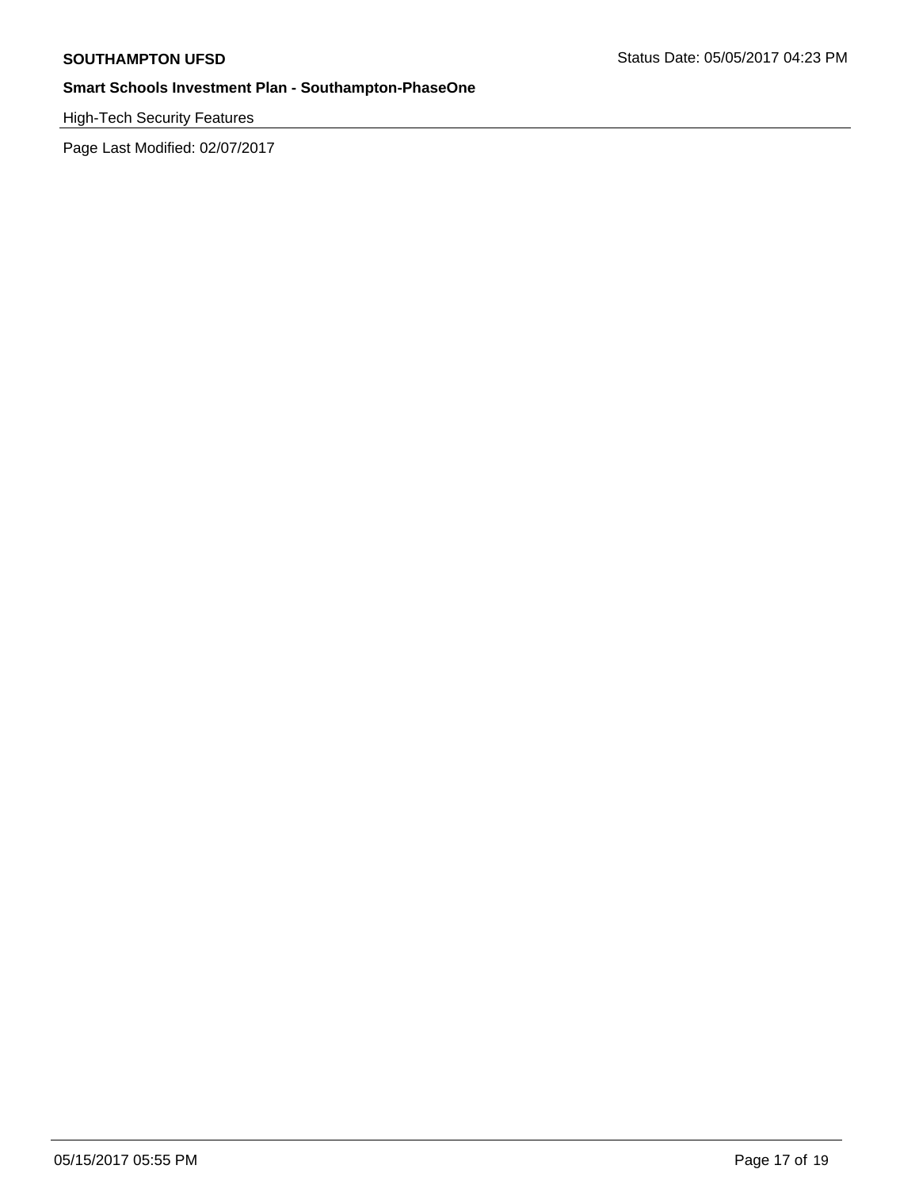High-Tech Security Features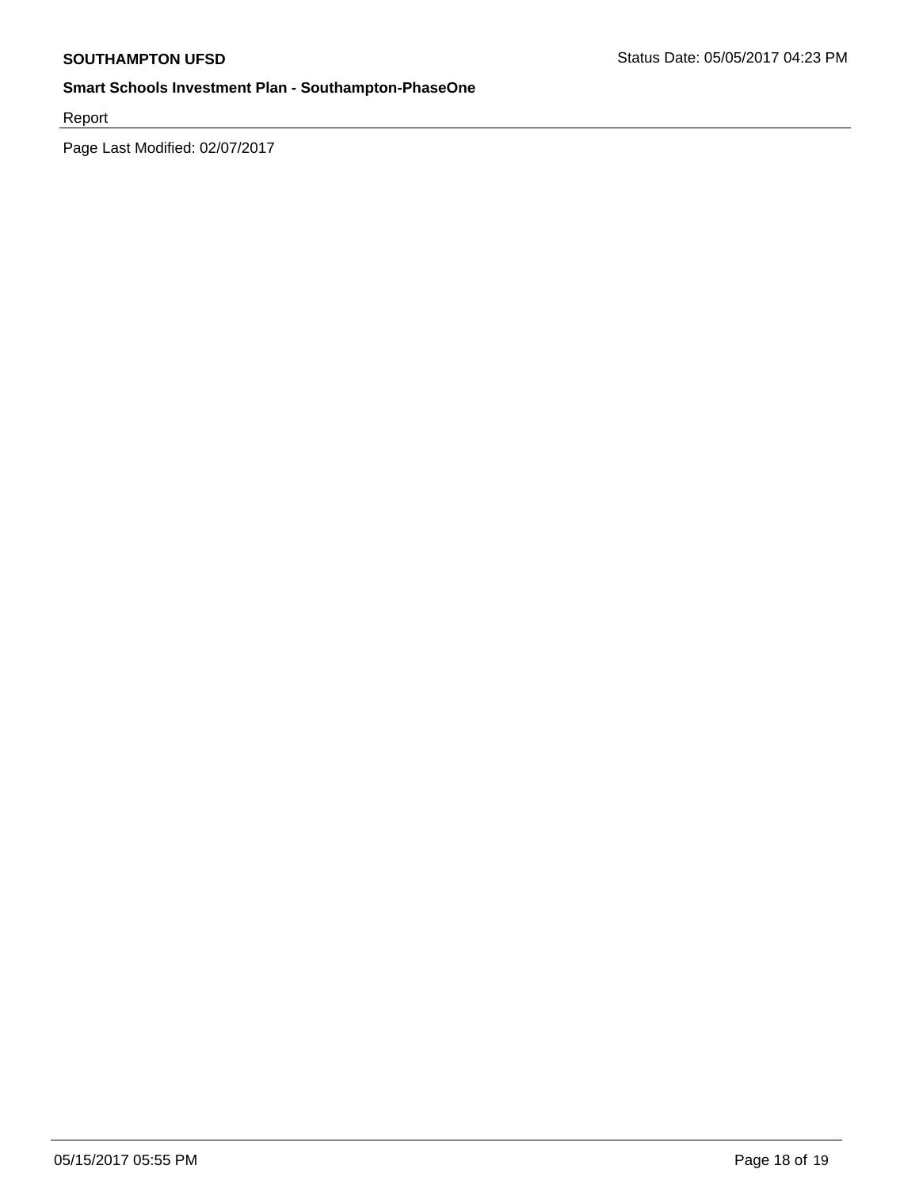Report